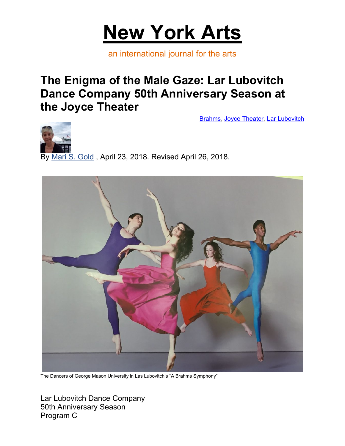

an international journal for the arts

## **The Enigma of the Male Gaze: Lar Lubovitch Dance Company 50th Anniversary Season at the Joyce Theater**

Brahms, Joyce Theater, Lar Lubovitch



By Mari S. Gold , April 23, 2018. Revised April 26, 2018.



The Dancers of George Mason University in Las Lubovitch's "A Brahms Symphony"

Lar Lubovitch Dance Company 50th Anniversary Season Program C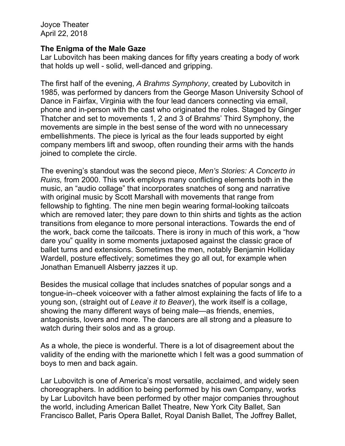Joyce Theater April 22, 2018

## **The Enigma of the Male Gaze**

Lar Lubovitch has been making dances for fifty years creating a body of work that holds up well - solid, well-danced and gripping.

The first half of the evening, *A Brahms Symphony*, created by Lubovitch in 1985, was performed by dancers from the George Mason University School of Dance in Fairfax, Virginia with the four lead dancers connecting via email, phone and in-person with the cast who originated the roles. Staged by Ginger Thatcher and set to movements 1, 2 and 3 of Brahms' Third Symphony, the movements are simple in the best sense of the word with no unnecessary embellishments. The piece is lyrical as the four leads supported by eight company members lift and swoop, often rounding their arms with the hands joined to complete the circle.

The evening's standout was the second piece, *Men's Stories: A Concerto in Ruins,* from 2000. This work employs many conflicting elements both in the music, an "audio collage" that incorporates snatches of song and narrative with original music by Scott Marshall with movements that range from fellowship to fighting. The nine men begin wearing formal-looking tailcoats which are removed later; they pare down to thin shirts and tights as the action transitions from elegance to more personal interactions. Towards the end of the work, back come the tailcoats. There is irony in much of this work, a "how dare you" quality in some moments juxtaposed against the classic grace of ballet turns and extensions. Sometimes the men, notably Benjamin Holliday Wardell, posture effectively; sometimes they go all out, for example when Jonathan Emanuell Alsberry jazzes it up.

Besides the musical collage that includes snatches of popular songs and a tongue-in–cheek voiceover with a father almost explaining the facts of life to a young son, (straight out of *Leave it to Beaver*), the work itself is a collage, showing the many different ways of being male—as friends, enemies, antagonists, lovers and more. The dancers are all strong and a pleasure to watch during their solos and as a group.

As a whole, the piece is wonderful. There is a lot of disagreement about the validity of the ending with the marionette which I felt was a good summation of boys to men and back again.

Lar Lubovitch is one of America's most versatile, acclaimed, and widely seen choreographers. In addition to being performed by his own Company, works by Lar Lubovitch have been performed by other major companies throughout the world, including American Ballet Theatre, New York City Ballet, San Francisco Ballet, Paris Opera Ballet, Royal Danish Ballet, The Joffrey Ballet,